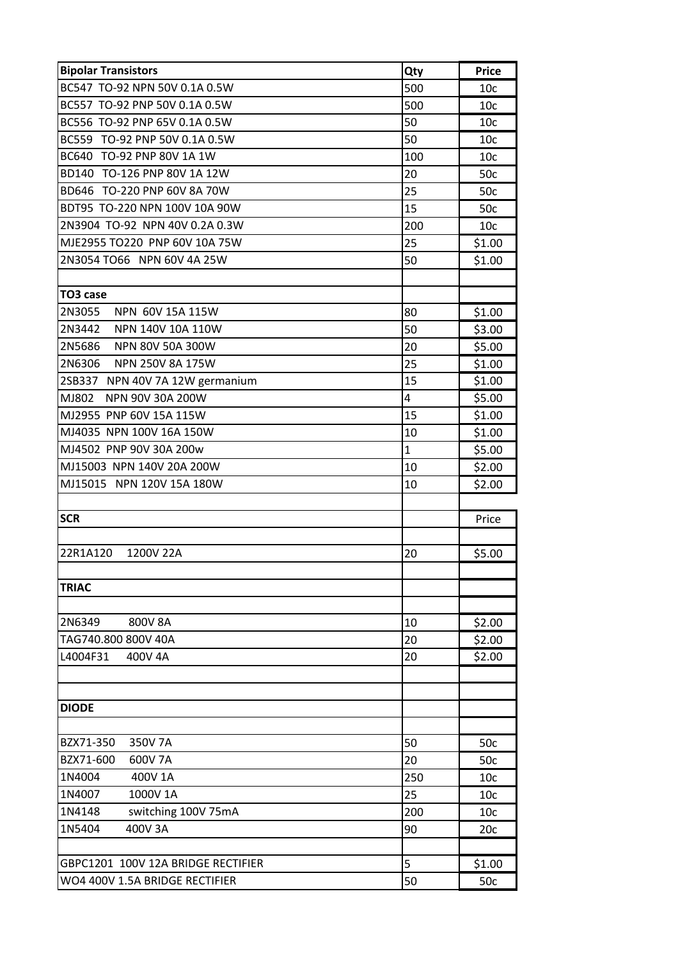| <b>Bipolar Transistors</b>         | Qty          | <b>Price</b>    |  |  |
|------------------------------------|--------------|-----------------|--|--|
| BC547 TO-92 NPN 50V 0.1A 0.5W      | 500          | 10 <sub>c</sub> |  |  |
| BC557 TO-92 PNP 50V 0.1A 0.5W      | 500          | 10 <sub>c</sub> |  |  |
| BC556 TO-92 PNP 65V 0.1A 0.5W      |              | 10 <sub>c</sub> |  |  |
| BC559 TO-92 PNP 50V 0.1A 0.5W      |              | 10 <sub>c</sub> |  |  |
| BC640 TO-92 PNP 80V 1A 1W          | 100          | 10 <sub>c</sub> |  |  |
| BD140 TO-126 PNP 80V 1A 12W        | 20           | 50c             |  |  |
| BD646 TO-220 PNP 60V 8A 70W        | 25           | 50c             |  |  |
| BDT95 TO-220 NPN 100V 10A 90W      | 15           | 50c             |  |  |
| 2N3904 TO-92 NPN 40V 0.2A 0.3W     | 200          | 10 <sub>c</sub> |  |  |
| MJE2955 TO220 PNP 60V 10A 75W      | 25           | \$1.00          |  |  |
| 2N3054 TO66 NPN 60V 4A 25W         |              | \$1.00          |  |  |
|                                    |              |                 |  |  |
| TO <sub>3</sub> case               |              |                 |  |  |
| 2N3055<br>NPN 60V 15A 115W         | 80           | \$1.00          |  |  |
| 2N3442<br>NPN 140V 10A 110W        | 50           | \$3.00          |  |  |
| 2N5686<br>NPN 80V 50A 300W         | 20           | \$5.00          |  |  |
| 2N6306<br>NPN 250V 8A 175W         | 25           | \$1.00          |  |  |
| 2SB337 NPN 40V 7A 12W germanium    | 15           | \$1.00          |  |  |
| MJ802<br>NPN 90V 30A 200W          | 4            | \$5.00          |  |  |
| MJ2955 PNP 60V 15A 115W            | 15           | \$1.00          |  |  |
| MJ4035 NPN 100V 16A 150W           | 10           | \$1.00          |  |  |
| MJ4502 PNP 90V 30A 200w            | $\mathbf{1}$ | \$5.00          |  |  |
| MJ15003 NPN 140V 20A 200W          | 10           | \$2.00          |  |  |
| MJ15015 NPN 120V 15A 180W          | 10           | \$2.00          |  |  |
|                                    |              |                 |  |  |
| <b>SCR</b>                         |              | Price           |  |  |
|                                    |              |                 |  |  |
| 22R1A120<br>1200V 22A              | 20           | \$5.00          |  |  |
|                                    |              |                 |  |  |
| <b>TRIAC</b>                       |              |                 |  |  |
|                                    |              |                 |  |  |
| 2N6349<br>800V 8A                  | 10           | \$2.00          |  |  |
| TAG740.800 800V 40A                | 20           | \$2.00          |  |  |
| L4004F31<br>400V 4A                | 20           | \$2.00          |  |  |
|                                    |              |                 |  |  |
|                                    |              |                 |  |  |
| <b>DIODE</b>                       |              |                 |  |  |
|                                    |              |                 |  |  |
| BZX71-350<br>350V 7A               | 50           | 50c             |  |  |
| BZX71-600<br>600V 7A               | 20           | 50c             |  |  |
| 1N4004<br>400V 1A                  | 250          | 10c             |  |  |
| 1N4007<br>1000V 1A                 | 25           | 10c             |  |  |
| switching 100V 75mA<br>1N4148      | 200          | 10 <sub>c</sub> |  |  |
| 1N5404<br>400V 3A                  | 90           | 20c             |  |  |
|                                    |              |                 |  |  |
| GBPC1201 100V 12A BRIDGE RECTIFIER | 5            | \$1.00          |  |  |
| WO4 400V 1.5A BRIDGE RECTIFIER     |              | 50c             |  |  |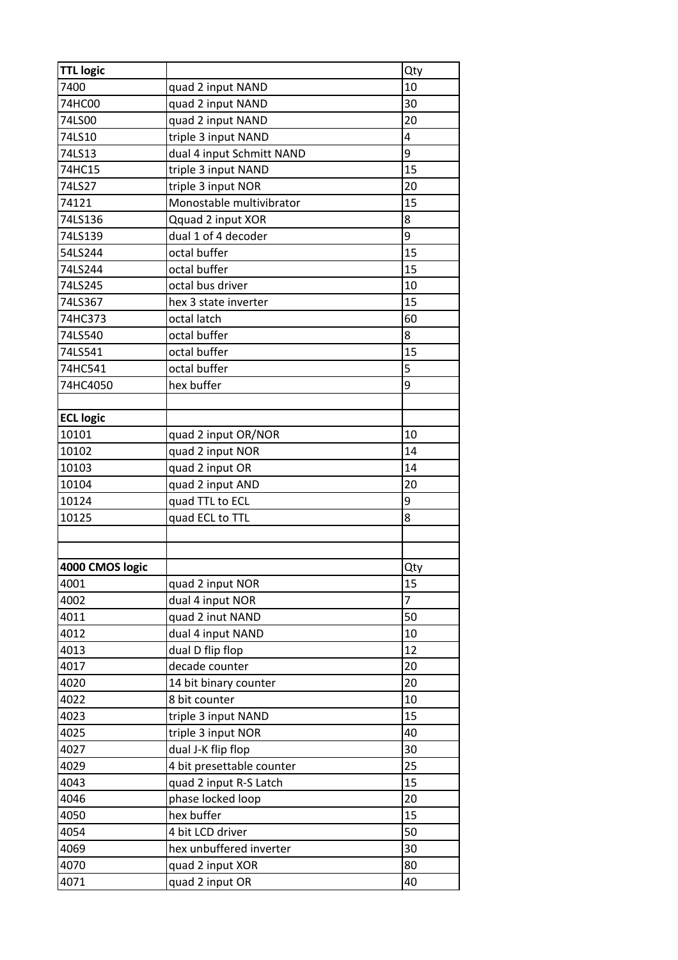| <b>TTL logic</b> |                           | Qty            |
|------------------|---------------------------|----------------|
| 7400             | quad 2 input NAND         | 10             |
| 74HC00           | quad 2 input NAND         | 30             |
| 74LS00           | quad 2 input NAND         | 20             |
| 74LS10           | triple 3 input NAND       | 4              |
| 74LS13           | dual 4 input Schmitt NAND | 9              |
| 74HC15           | triple 3 input NAND       | 15             |
| 74LS27           | triple 3 input NOR        | 20             |
| 74121            | Monostable multivibrator  | 15             |
| 74LS136          | Qquad 2 input XOR         | 8              |
| 74LS139          | dual 1 of 4 decoder       | 9              |
| 54LS244          | octal buffer              | 15             |
| 74LS244          | octal buffer              | 15             |
| 74LS245          | octal bus driver          | 10             |
| 74LS367          | hex 3 state inverter      | 15             |
| 74HC373          | octal latch               | 60             |
| 74LS540          | octal buffer              | 8              |
| 74LS541          | octal buffer              | 15             |
| 74HC541          | octal buffer              | 5              |
| 74HC4050         | hex buffer                | 9              |
|                  |                           |                |
| <b>ECL logic</b> |                           |                |
| 10101            | quad 2 input OR/NOR       | 10             |
| 10102            | quad 2 input NOR          | 14             |
| 10103            | quad 2 input OR           | 14             |
| 10104            | quad 2 input AND          | 20             |
| 10124            | quad TTL to ECL           | 9              |
| 10125            | quad ECL to TTL           | 8              |
|                  |                           |                |
|                  |                           |                |
| 4000 CMOS logic  |                           | Qty            |
| 4001             | quad 2 input NOR          | 15             |
| 4002             | dual 4 input NOR          | $\overline{7}$ |
| 4011             | quad 2 inut NAND          | 50             |
| 4012             | dual 4 input NAND         | 10             |
| 4013             | dual D flip flop          | 12             |
| 4017             | decade counter            | 20             |
| 4020             | 14 bit binary counter     | 20             |
| 4022             | 8 bit counter             | 10             |
| 4023             | triple 3 input NAND       | 15             |
| 4025             | triple 3 input NOR        | 40             |
| 4027             | dual J-K flip flop        | 30             |
| 4029             | 4 bit presettable counter | 25             |
| 4043             | quad 2 input R-S Latch    | 15             |
| 4046             | phase locked loop         | 20             |
| 4050             | hex buffer                | 15             |
| 4054             | 4 bit LCD driver          | 50             |
| 4069             | hex unbuffered inverter   | 30             |
| 4070             | quad 2 input XOR          | 80             |
| 4071             | quad 2 input OR           | 40             |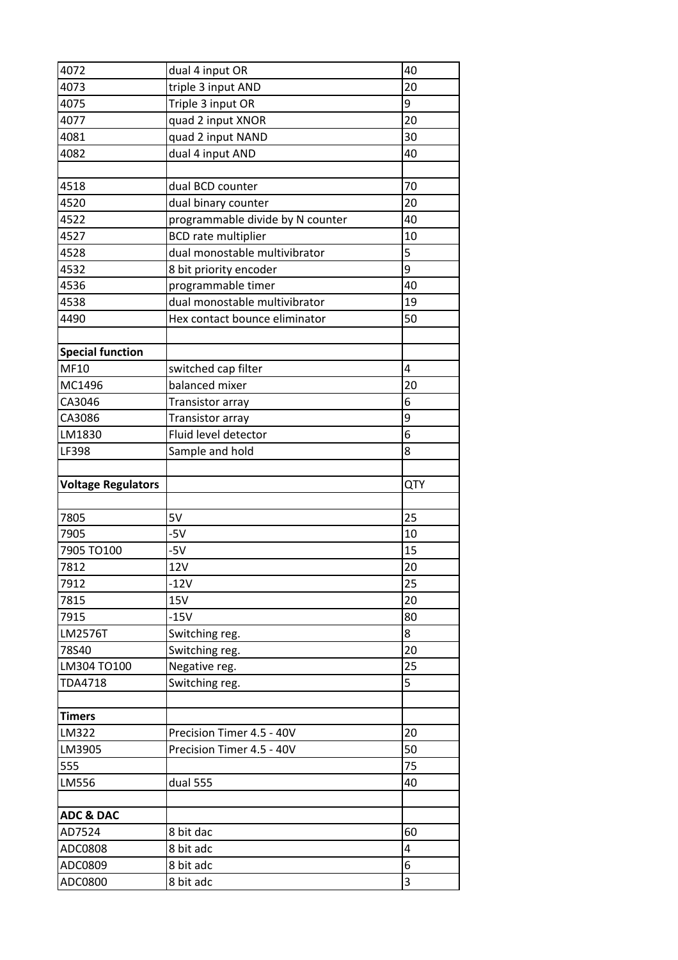| 4072                      | dual 4 input OR                  | 40     |
|---------------------------|----------------------------------|--------|
| 4073                      | triple 3 input AND               | 20     |
| 4075                      | Triple 3 input OR                | 9      |
| 4077                      | quad 2 input XNOR                | 20     |
| 4081                      | quad 2 input NAND                | 30     |
| 4082                      | dual 4 input AND                 | 40     |
|                           |                                  |        |
| 4518                      | dual BCD counter                 | 70     |
| 4520                      | dual binary counter              | 20     |
| 4522                      | programmable divide by N counter | 40     |
| 4527                      | <b>BCD</b> rate multiplier       | 10     |
| 4528                      | dual monostable multivibrator    | 5      |
| 4532                      | 8 bit priority encoder           | 9      |
| 4536                      | programmable timer               | 40     |
| 4538                      | dual monostable multivibrator    | 19     |
| 4490                      | Hex contact bounce eliminator    | 50     |
|                           |                                  |        |
| <b>Special function</b>   |                                  |        |
| MF10                      | switched cap filter              | 4      |
| MC1496                    | balanced mixer                   | 20     |
| CA3046                    | Transistor array                 | 6      |
| CA3086                    | Transistor array                 | 9      |
| LM1830                    | Fluid level detector             | 6      |
| LF398                     | Sample and hold                  | 8      |
|                           |                                  |        |
|                           |                                  |        |
| <b>Voltage Regulators</b> |                                  | QTY    |
|                           |                                  |        |
| 7805                      | 5V                               | 25     |
| 7905                      | $-5V$                            | 10     |
| 7905 TO100                | $-5V$                            | 15     |
| 7812                      | <b>12V</b>                       | 20     |
| 7912                      | $-12V$                           | 25     |
| 7815                      | <b>15V</b>                       | 20     |
| 7915                      | $-15V$                           | 80     |
| LM2576T                   | Switching reg.                   | 8      |
| 78S40                     | Switching reg.                   | 20     |
| LM304 TO100               | Negative reg.                    | 25     |
| <b>TDA4718</b>            | Switching reg.                   | 5      |
|                           |                                  |        |
| <b>Timers</b>             |                                  |        |
| LM322                     | Precision Timer 4.5 - 40V        | 20     |
| LM3905                    | Precision Timer 4.5 - 40V        | 50     |
| 555                       |                                  | 75     |
| LM556                     | dual 555                         | 40     |
|                           |                                  |        |
| <b>ADC &amp; DAC</b>      |                                  |        |
| AD7524                    | 8 bit dac                        | 60     |
| ADC0808                   | 8 bit adc                        | 4      |
| ADC0809<br>ADC0800        | 8 bit adc<br>8 bit adc           | 6<br>3 |